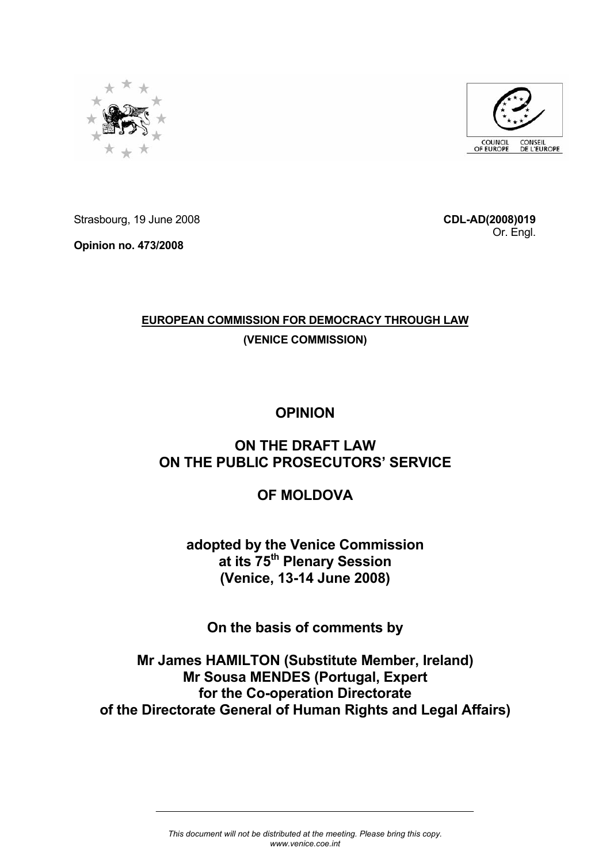



Strasbourg, 19 June 2008

**Opinion no. 473/2008** 

**CDL-AD(2008)019** Or. Engl.

# **EUROPEAN COMMISSION FOR DEMOCRACY THROUGH LAW**

# **(VENICE COMMISSION)**

# **OPINION**

# **ON THE DRAFT LAW ON THE PUBLIC PROSECUTORS' SERVICE**

# **OF MOLDOVA**

**adopted by the Venice Commission at its 75th Plenary Session (Venice, 13-14 June 2008)** 

**On the basis of comments by** 

**Mr James HAMILTON (Substitute Member, Ireland) Mr Sousa MENDES (Portugal, Expert for the Co-operation Directorate of the Directorate General of Human Rights and Legal Affairs)**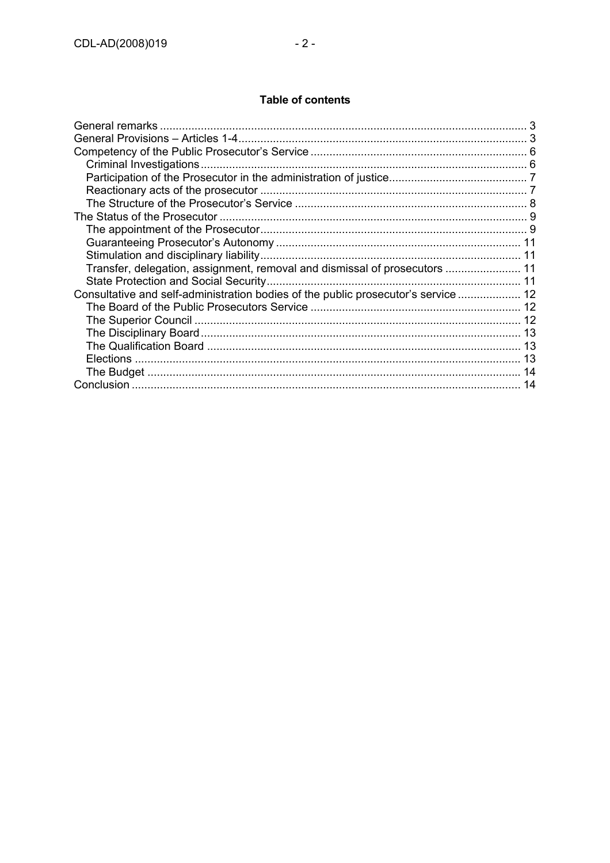# **Table of contents**

| General remarks                                                                    |  |
|------------------------------------------------------------------------------------|--|
|                                                                                    |  |
|                                                                                    |  |
|                                                                                    |  |
|                                                                                    |  |
|                                                                                    |  |
|                                                                                    |  |
|                                                                                    |  |
|                                                                                    |  |
|                                                                                    |  |
|                                                                                    |  |
| Transfer, delegation, assignment, removal and dismissal of prosecutors  11         |  |
|                                                                                    |  |
| Consultative and self-administration bodies of the public prosecutor's service  12 |  |
|                                                                                    |  |
|                                                                                    |  |
|                                                                                    |  |
|                                                                                    |  |
|                                                                                    |  |
|                                                                                    |  |
|                                                                                    |  |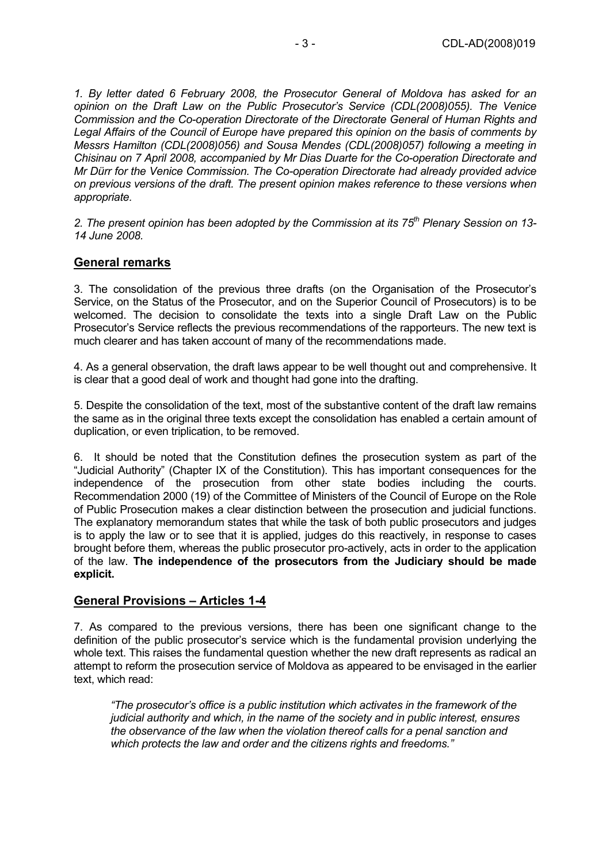*1. By letter dated 6 February 2008, the Prosecutor General of Moldova has asked for an opinion on the Draft Law on the Public Prosecutor's Service (CDL(2008)055). The Venice Commission and the Co-operation Directorate of the Directorate General of Human Rights and Legal Affairs of the Council of Europe have prepared this opinion on the basis of comments by Messrs Hamilton (CDL(2008)056) and Sousa Mendes (CDL(2008)057) following a meeting in Chisinau on 7 April 2008, accompanied by Mr Dias Duarte for the Co-operation Directorate and Mr Dürr for the Venice Commission. The Co-operation Directorate had already provided advice on previous versions of the draft. The present opinion makes reference to these versions when appropriate.* 

*2. The present opinion has been adopted by the Commission at its 75th Plenary Session on 13- 14 June 2008.* 

#### **General remarks**

3. The consolidation of the previous three drafts (on the Organisation of the Prosecutor's Service, on the Status of the Prosecutor, and on the Superior Council of Prosecutors) is to be welcomed. The decision to consolidate the texts into a single Draft Law on the Public Prosecutor's Service reflects the previous recommendations of the rapporteurs. The new text is much clearer and has taken account of many of the recommendations made.

4. As a general observation, the draft laws appear to be well thought out and comprehensive. It is clear that a good deal of work and thought had gone into the drafting.

5. Despite the consolidation of the text, most of the substantive content of the draft law remains the same as in the original three texts except the consolidation has enabled a certain amount of duplication, or even triplication, to be removed.

6. It should be noted that the Constitution defines the prosecution system as part of the "Judicial Authority" (Chapter IX of the Constitution). This has important consequences for the independence of the prosecution from other state bodies including the courts. Recommendation 2000 (19) of the Committee of Ministers of the Council of Europe on the Role of Public Prosecution makes a clear distinction between the prosecution and judicial functions. The explanatory memorandum states that while the task of both public prosecutors and judges is to apply the law or to see that it is applied, judges do this reactively, in response to cases brought before them, whereas the public prosecutor pro-actively, acts in order to the application of the law. **The independence of the prosecutors from the Judiciary should be made explicit.**

#### **General Provisions – Articles 1-4**

7. As compared to the previous versions, there has been one significant change to the definition of the public prosecutor's service which is the fundamental provision underlying the whole text. This raises the fundamental question whether the new draft represents as radical an attempt to reform the prosecution service of Moldova as appeared to be envisaged in the earlier text, which read:

*"The prosecutor's office is a public institution which activates in the framework of the judicial authority and which, in the name of the society and in public interest, ensures the observance of the law when the violation thereof calls for a penal sanction and which protects the law and order and the citizens rights and freedoms."*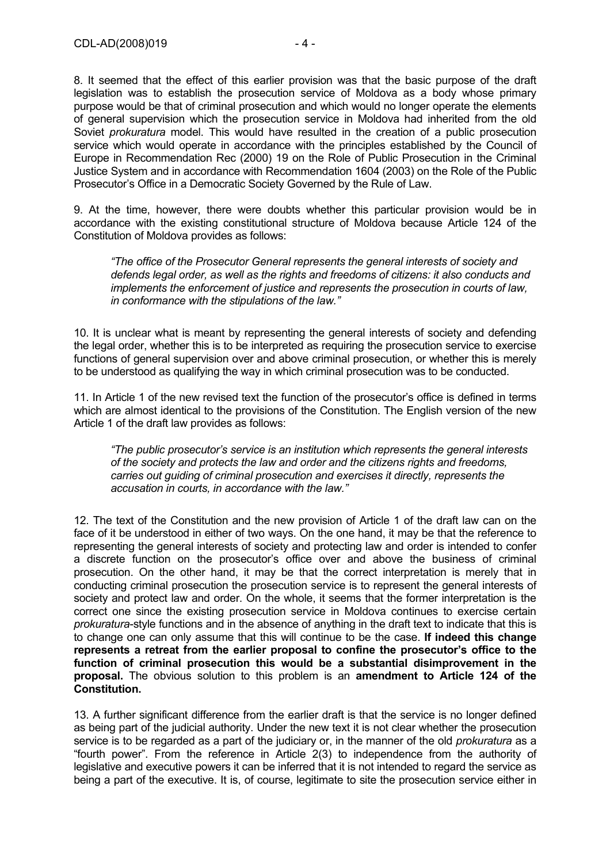8. It seemed that the effect of this earlier provision was that the basic purpose of the draft legislation was to establish the prosecution service of Moldova as a body whose primary purpose would be that of criminal prosecution and which would no longer operate the elements of general supervision which the prosecution service in Moldova had inherited from the old Soviet *prokuratura* model. This would have resulted in the creation of a public prosecution service which would operate in accordance with the principles established by the Council of Europe in Recommendation Rec (2000) 19 on the Role of Public Prosecution in the Criminal Justice System and in accordance with Recommendation 1604 (2003) on the Role of the Public Prosecutor's Office in a Democratic Society Governed by the Rule of Law.

9. At the time, however, there were doubts whether this particular provision would be in accordance with the existing constitutional structure of Moldova because Article 124 of the Constitution of Moldova provides as follows:

*"The office of the Prosecutor General represents the general interests of society and defends legal order, as well as the rights and freedoms of citizens: it also conducts and implements the enforcement of justice and represents the prosecution in courts of law, in conformance with the stipulations of the law."* 

10. It is unclear what is meant by representing the general interests of society and defending the legal order, whether this is to be interpreted as requiring the prosecution service to exercise functions of general supervision over and above criminal prosecution, or whether this is merely to be understood as qualifying the way in which criminal prosecution was to be conducted.

11. In Article 1 of the new revised text the function of the prosecutor's office is defined in terms which are almost identical to the provisions of the Constitution. The English version of the new Article 1 of the draft law provides as follows:

*"The public prosecutor's service is an institution which represents the general interests of the society and protects the law and order and the citizens rights and freedoms, carries out guiding of criminal prosecution and exercises it directly, represents the accusation in courts, in accordance with the law."* 

12. The text of the Constitution and the new provision of Article 1 of the draft law can on the face of it be understood in either of two ways. On the one hand, it may be that the reference to representing the general interests of society and protecting law and order is intended to confer a discrete function on the prosecutor's office over and above the business of criminal prosecution. On the other hand, it may be that the correct interpretation is merely that in conducting criminal prosecution the prosecution service is to represent the general interests of society and protect law and order. On the whole, it seems that the former interpretation is the correct one since the existing prosecution service in Moldova continues to exercise certain *prokuratura*-style functions and in the absence of anything in the draft text to indicate that this is to change one can only assume that this will continue to be the case. **If indeed this change represents a retreat from the earlier proposal to confine the prosecutor's office to the function of criminal prosecution this would be a substantial disimprovement in the proposal.** The obvious solution to this problem is an **amendment to Article 124 of the Constitution.**

13. A further significant difference from the earlier draft is that the service is no longer defined as being part of the judicial authority. Under the new text it is not clear whether the prosecution service is to be regarded as a part of the judiciary or, in the manner of the old *prokuratura* as a "fourth power". From the reference in Article 2(3) to independence from the authority of legislative and executive powers it can be inferred that it is not intended to regard the service as being a part of the executive. It is, of course, legitimate to site the prosecution service either in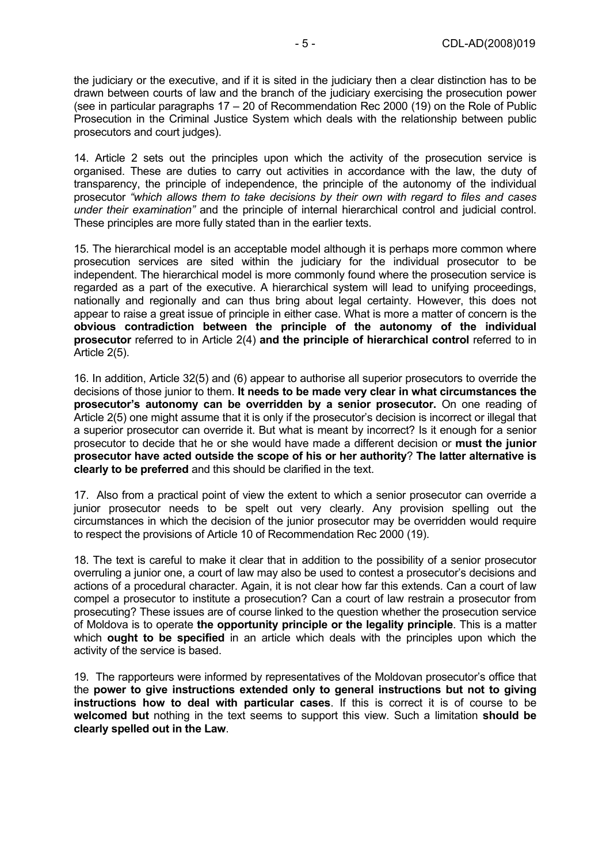the judiciary or the executive, and if it is sited in the judiciary then a clear distinction has to be drawn between courts of law and the branch of the judiciary exercising the prosecution power (see in particular paragraphs 17 – 20 of Recommendation Rec 2000 (19) on the Role of Public Prosecution in the Criminal Justice System which deals with the relationship between public prosecutors and court judges).

14. Article 2 sets out the principles upon which the activity of the prosecution service is organised. These are duties to carry out activities in accordance with the law, the duty of transparency, the principle of independence, the principle of the autonomy of the individual prosecutor *"which allows them to take decisions by their own with regard to files and cases under their examination"* and the principle of internal hierarchical control and judicial control. These principles are more fully stated than in the earlier texts.

15. The hierarchical model is an acceptable model although it is perhaps more common where prosecution services are sited within the judiciary for the individual prosecutor to be independent. The hierarchical model is more commonly found where the prosecution service is regarded as a part of the executive. A hierarchical system will lead to unifying proceedings, nationally and regionally and can thus bring about legal certainty. However, this does not appear to raise a great issue of principle in either case. What is more a matter of concern is the **obvious contradiction between the principle of the autonomy of the individual prosecutor** referred to in Article 2(4) **and the principle of hierarchical control** referred to in Article 2(5).

16. In addition, Article 32(5) and (6) appear to authorise all superior prosecutors to override the decisions of those junior to them. **It needs to be made very clear in what circumstances the prosecutor's autonomy can be overridden by a senior prosecutor.** On one reading of Article 2(5) one might assume that it is only if the prosecutor's decision is incorrect or illegal that a superior prosecutor can override it. But what is meant by incorrect? Is it enough for a senior prosecutor to decide that he or she would have made a different decision or **must the junior prosecutor have acted outside the scope of his or her authority**? **The latter alternative is clearly to be preferred** and this should be clarified in the text.

17. Also from a practical point of view the extent to which a senior prosecutor can override a junior prosecutor needs to be spelt out very clearly. Any provision spelling out the circumstances in which the decision of the junior prosecutor may be overridden would require to respect the provisions of Article 10 of Recommendation Rec 2000 (19).

18. The text is careful to make it clear that in addition to the possibility of a senior prosecutor overruling a junior one, a court of law may also be used to contest a prosecutor's decisions and actions of a procedural character. Again, it is not clear how far this extends. Can a court of law compel a prosecutor to institute a prosecution? Can a court of law restrain a prosecutor from prosecuting? These issues are of course linked to the question whether the prosecution service of Moldova is to operate **the opportunity principle or the legality principle**. This is a matter which **ought to be specified** in an article which deals with the principles upon which the activity of the service is based.

19. The rapporteurs were informed by representatives of the Moldovan prosecutor's office that the **power to give instructions extended only to general instructions but not to giving instructions how to deal with particular cases**. If this is correct it is of course to be **welcomed but** nothing in the text seems to support this view. Such a limitation **should be clearly spelled out in the Law**.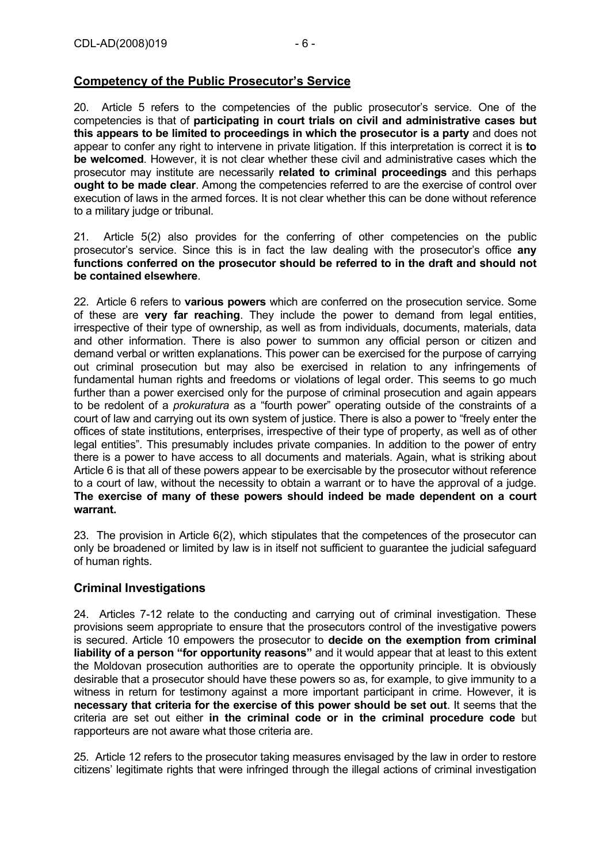# **Competency of the Public Prosecutor's Service**

20. Article 5 refers to the competencies of the public prosecutor's service. One of the competencies is that of **participating in court trials on civil and administrative cases but this appears to be limited to proceedings in which the prosecutor is a party** and does not appear to confer any right to intervene in private litigation. If this interpretation is correct it is **to be welcomed**. However, it is not clear whether these civil and administrative cases which the prosecutor may institute are necessarily **related to criminal proceedings** and this perhaps **ought to be made clear**. Among the competencies referred to are the exercise of control over execution of laws in the armed forces. It is not clear whether this can be done without reference to a military judge or tribunal.

21. Article 5(2) also provides for the conferring of other competencies on the public prosecutor's service. Since this is in fact the law dealing with the prosecutor's office **any functions conferred on the prosecutor should be referred to in the draft and should not be contained elsewhere**.

22. Article 6 refers to **various powers** which are conferred on the prosecution service. Some of these are **very far reaching**. They include the power to demand from legal entities, irrespective of their type of ownership, as well as from individuals, documents, materials, data and other information. There is also power to summon any official person or citizen and demand verbal or written explanations. This power can be exercised for the purpose of carrying out criminal prosecution but may also be exercised in relation to any infringements of fundamental human rights and freedoms or violations of legal order. This seems to go much further than a power exercised only for the purpose of criminal prosecution and again appears to be redolent of a *prokuratura* as a "fourth power" operating outside of the constraints of a court of law and carrying out its own system of justice. There is also a power to "freely enter the offices of state institutions, enterprises, irrespective of their type of property, as well as of other legal entities". This presumably includes private companies. In addition to the power of entry there is a power to have access to all documents and materials. Again, what is striking about Article 6 is that all of these powers appear to be exercisable by the prosecutor without reference to a court of law, without the necessity to obtain a warrant or to have the approval of a judge. **The exercise of many of these powers should indeed be made dependent on a court warrant.**

23. The provision in Article 6(2), which stipulates that the competences of the prosecutor can only be broadened or limited by law is in itself not sufficient to guarantee the judicial safeguard of human rights.

# **Criminal Investigations**

24. Articles 7-12 relate to the conducting and carrying out of criminal investigation. These provisions seem appropriate to ensure that the prosecutors control of the investigative powers is secured. Article 10 empowers the prosecutor to **decide on the exemption from criminal liability of a person "for opportunity reasons"** and it would appear that at least to this extent the Moldovan prosecution authorities are to operate the opportunity principle. It is obviously desirable that a prosecutor should have these powers so as, for example, to give immunity to a witness in return for testimony against a more important participant in crime. However, it is **necessary that criteria for the exercise of this power should be set out**. It seems that the criteria are set out either **in the criminal code or in the criminal procedure code** but rapporteurs are not aware what those criteria are.

25. Article 12 refers to the prosecutor taking measures envisaged by the law in order to restore citizens' legitimate rights that were infringed through the illegal actions of criminal investigation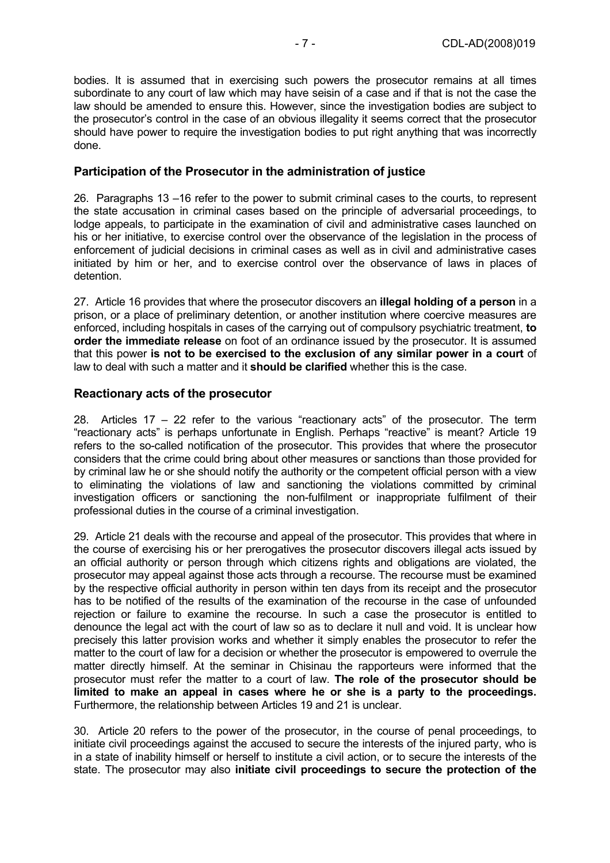bodies. It is assumed that in exercising such powers the prosecutor remains at all times subordinate to any court of law which may have seisin of a case and if that is not the case the law should be amended to ensure this. However, since the investigation bodies are subject to the prosecutor's control in the case of an obvious illegality it seems correct that the prosecutor should have power to require the investigation bodies to put right anything that was incorrectly done.

#### **Participation of the Prosecutor in the administration of justice**

26. Paragraphs 13 –16 refer to the power to submit criminal cases to the courts, to represent the state accusation in criminal cases based on the principle of adversarial proceedings, to lodge appeals, to participate in the examination of civil and administrative cases launched on his or her initiative, to exercise control over the observance of the legislation in the process of enforcement of judicial decisions in criminal cases as well as in civil and administrative cases initiated by him or her, and to exercise control over the observance of laws in places of detention.

27. Article 16 provides that where the prosecutor discovers an **illegal holding of a person** in a prison, or a place of preliminary detention, or another institution where coercive measures are enforced, including hospitals in cases of the carrying out of compulsory psychiatric treatment, **to order the immediate release** on foot of an ordinance issued by the prosecutor. It is assumed that this power **is not to be exercised to the exclusion of any similar power in a court** of law to deal with such a matter and it **should be clarified** whether this is the case.

#### **Reactionary acts of the prosecutor**

28. Articles  $17 - 22$  refer to the various "reactionary acts" of the prosecutor. The term "reactionary acts" is perhaps unfortunate in English. Perhaps "reactive" is meant? Article 19 refers to the so-called notification of the prosecutor. This provides that where the prosecutor considers that the crime could bring about other measures or sanctions than those provided for by criminal law he or she should notify the authority or the competent official person with a view to eliminating the violations of law and sanctioning the violations committed by criminal investigation officers or sanctioning the non-fulfilment or inappropriate fulfilment of their professional duties in the course of a criminal investigation.

29. Article 21 deals with the recourse and appeal of the prosecutor. This provides that where in the course of exercising his or her prerogatives the prosecutor discovers illegal acts issued by an official authority or person through which citizens rights and obligations are violated, the prosecutor may appeal against those acts through a recourse. The recourse must be examined by the respective official authority in person within ten days from its receipt and the prosecutor has to be notified of the results of the examination of the recourse in the case of unfounded rejection or failure to examine the recourse. In such a case the prosecutor is entitled to denounce the legal act with the court of law so as to declare it null and void. It is unclear how precisely this latter provision works and whether it simply enables the prosecutor to refer the matter to the court of law for a decision or whether the prosecutor is empowered to overrule the matter directly himself. At the seminar in Chisinau the rapporteurs were informed that the prosecutor must refer the matter to a court of law. **The role of the prosecutor should be limited to make an appeal in cases where he or she is a party to the proceedings.**  Furthermore, the relationship between Articles 19 and 21 is unclear.

30. Article 20 refers to the power of the prosecutor, in the course of penal proceedings, to initiate civil proceedings against the accused to secure the interests of the injured party, who is in a state of inability himself or herself to institute a civil action, or to secure the interests of the state. The prosecutor may also **initiate civil proceedings to secure the protection of the**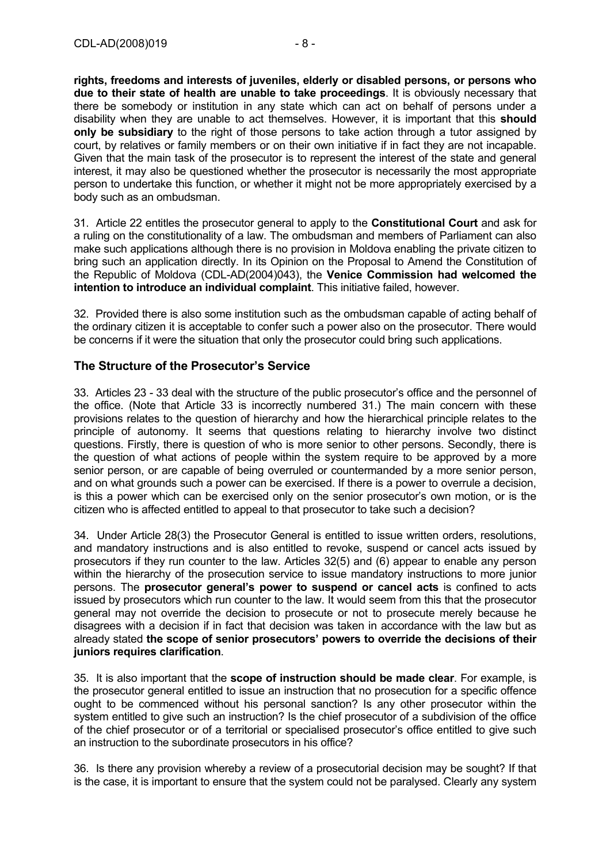**rights, freedoms and interests of juveniles, elderly or disabled persons, or persons who due to their state of health are unable to take proceedings**. It is obviously necessary that there be somebody or institution in any state which can act on behalf of persons under a disability when they are unable to act themselves. However, it is important that this **should only be subsidiary** to the right of those persons to take action through a tutor assigned by court, by relatives or family members or on their own initiative if in fact they are not incapable. Given that the main task of the prosecutor is to represent the interest of the state and general interest, it may also be questioned whether the prosecutor is necessarily the most appropriate person to undertake this function, or whether it might not be more appropriately exercised by a body such as an ombudsman.

31. Article 22 entitles the prosecutor general to apply to the **Constitutional Court** and ask for a ruling on the constitutionality of a law. The ombudsman and members of Parliament can also make such applications although there is no provision in Moldova enabling the private citizen to bring such an application directly. In its Opinion on the Proposal to Amend the Constitution of the Republic of Moldova (CDL-AD(2004)043), the **Venice Commission had welcomed the intention to introduce an individual complaint**. This initiative failed, however.

32. Provided there is also some institution such as the ombudsman capable of acting behalf of the ordinary citizen it is acceptable to confer such a power also on the prosecutor. There would be concerns if it were the situation that only the prosecutor could bring such applications.

#### **The Structure of the Prosecutor's Service**

33. Articles 23 - 33 deal with the structure of the public prosecutor's office and the personnel of the office. (Note that Article 33 is incorrectly numbered 31.) The main concern with these provisions relates to the question of hierarchy and how the hierarchical principle relates to the principle of autonomy. It seems that questions relating to hierarchy involve two distinct questions. Firstly, there is question of who is more senior to other persons. Secondly, there is the question of what actions of people within the system require to be approved by a more senior person, or are capable of being overruled or countermanded by a more senior person, and on what grounds such a power can be exercised. If there is a power to overrule a decision, is this a power which can be exercised only on the senior prosecutor's own motion, or is the citizen who is affected entitled to appeal to that prosecutor to take such a decision?

34. Under Article 28(3) the Prosecutor General is entitled to issue written orders, resolutions, and mandatory instructions and is also entitled to revoke, suspend or cancel acts issued by prosecutors if they run counter to the law. Articles 32(5) and (6) appear to enable any person within the hierarchy of the prosecution service to issue mandatory instructions to more junior persons. The **prosecutor general's power to suspend or cancel acts** is confined to acts issued by prosecutors which run counter to the law. It would seem from this that the prosecutor general may not override the decision to prosecute or not to prosecute merely because he disagrees with a decision if in fact that decision was taken in accordance with the law but as already stated **the scope of senior prosecutors' powers to override the decisions of their juniors requires clarification**.

35. It is also important that the **scope of instruction should be made clear**. For example, is the prosecutor general entitled to issue an instruction that no prosecution for a specific offence ought to be commenced without his personal sanction? Is any other prosecutor within the system entitled to give such an instruction? Is the chief prosecutor of a subdivision of the office of the chief prosecutor or of a territorial or specialised prosecutor's office entitled to give such an instruction to the subordinate prosecutors in his office?

36. Is there any provision whereby a review of a prosecutorial decision may be sought? If that is the case, it is important to ensure that the system could not be paralysed. Clearly any system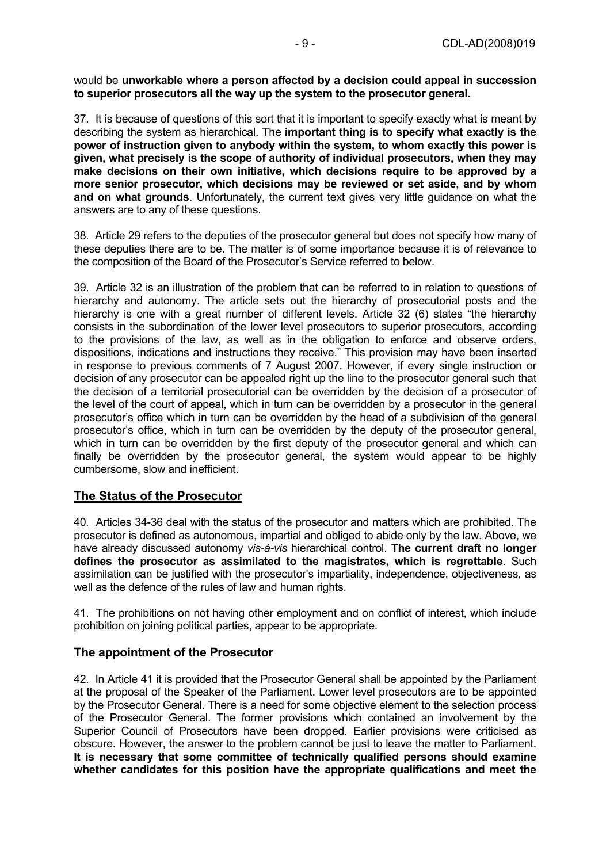would be **unworkable where a person affected by a decision could appeal in succession to superior prosecutors all the way up the system to the prosecutor general.**

37. It is because of questions of this sort that it is important to specify exactly what is meant by describing the system as hierarchical. The **important thing is to specify what exactly is the power of instruction given to anybody within the system, to whom exactly this power is given, what precisely is the scope of authority of individual prosecutors, when they may make decisions on their own initiative, which decisions require to be approved by a more senior prosecutor, which decisions may be reviewed or set aside, and by whom and on what grounds**. Unfortunately, the current text gives very little guidance on what the answers are to any of these questions.

38. Article 29 refers to the deputies of the prosecutor general but does not specify how many of these deputies there are to be. The matter is of some importance because it is of relevance to the composition of the Board of the Prosecutor's Service referred to below.

39. Article 32 is an illustration of the problem that can be referred to in relation to questions of hierarchy and autonomy. The article sets out the hierarchy of prosecutorial posts and the hierarchy is one with a great number of different levels. Article 32 (6) states "the hierarchy consists in the subordination of the lower level prosecutors to superior prosecutors, according to the provisions of the law, as well as in the obligation to enforce and observe orders, dispositions, indications and instructions they receive." This provision may have been inserted in response to previous comments of 7 August 2007. However, if every single instruction or decision of any prosecutor can be appealed right up the line to the prosecutor general such that the decision of a territorial prosecutorial can be overridden by the decision of a prosecutor of the level of the court of appeal, which in turn can be overridden by a prosecutor in the general prosecutor's office which in turn can be overridden by the head of a subdivision of the general prosecutor's office, which in turn can be overridden by the deputy of the prosecutor general, which in turn can be overridden by the first deputy of the prosecutor general and which can finally be overridden by the prosecutor general, the system would appear to be highly cumbersome, slow and inefficient.

#### **The Status of the Prosecutor**

40. Articles 34-36 deal with the status of the prosecutor and matters which are prohibited. The prosecutor is defined as autonomous, impartial and obliged to abide only by the law. Above, we have already discussed autonomy *vis-à-vis* hierarchical control. **The current draft no longer defines the prosecutor as assimilated to the magistrates, which is regrettable**. Such assimilation can be justified with the prosecutor's impartiality, independence, objectiveness, as well as the defence of the rules of law and human rights.

41. The prohibitions on not having other employment and on conflict of interest, which include prohibition on joining political parties, appear to be appropriate.

#### **The appointment of the Prosecutor**

42. In Article 41 it is provided that the Prosecutor General shall be appointed by the Parliament at the proposal of the Speaker of the Parliament. Lower level prosecutors are to be appointed by the Prosecutor General. There is a need for some objective element to the selection process of the Prosecutor General. The former provisions which contained an involvement by the Superior Council of Prosecutors have been dropped. Earlier provisions were criticised as obscure. However, the answer to the problem cannot be just to leave the matter to Parliament. **It is necessary that some committee of technically qualified persons should examine whether candidates for this position have the appropriate qualifications and meet the**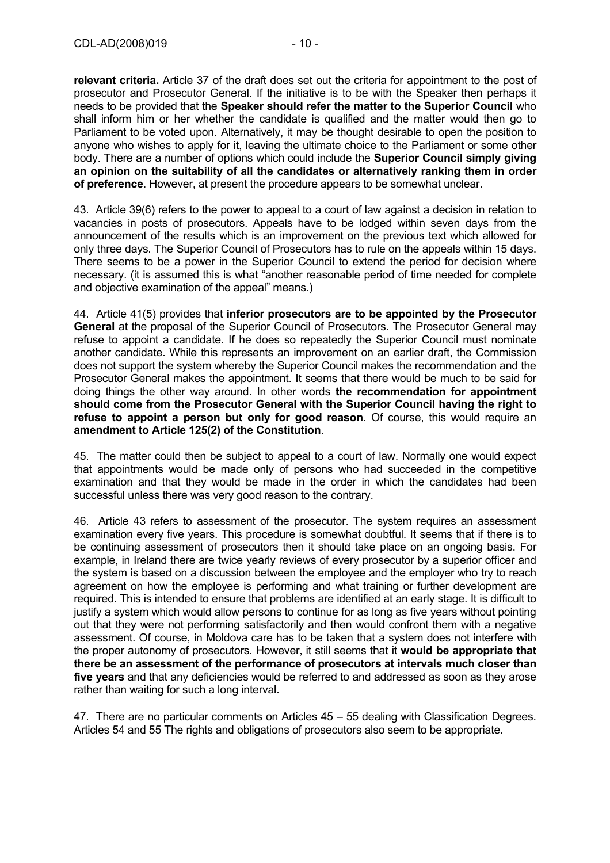**relevant criteria.** Article 37 of the draft does set out the criteria for appointment to the post of prosecutor and Prosecutor General. If the initiative is to be with the Speaker then perhaps it needs to be provided that the **Speaker should refer the matter to the Superior Council** who shall inform him or her whether the candidate is qualified and the matter would then go to Parliament to be voted upon. Alternatively, it may be thought desirable to open the position to anyone who wishes to apply for it, leaving the ultimate choice to the Parliament or some other body. There are a number of options which could include the **Superior Council simply giving an opinion on the suitability of all the candidates or alternatively ranking them in order of preference**. However, at present the procedure appears to be somewhat unclear.

43. Article 39(6) refers to the power to appeal to a court of law against a decision in relation to vacancies in posts of prosecutors. Appeals have to be lodged within seven days from the announcement of the results which is an improvement on the previous text which allowed for only three days. The Superior Council of Prosecutors has to rule on the appeals within 15 days. There seems to be a power in the Superior Council to extend the period for decision where necessary. (it is assumed this is what "another reasonable period of time needed for complete and objective examination of the appeal" means.)

44. Article 41(5) provides that **inferior prosecutors are to be appointed by the Prosecutor General** at the proposal of the Superior Council of Prosecutors. The Prosecutor General may refuse to appoint a candidate. If he does so repeatedly the Superior Council must nominate another candidate. While this represents an improvement on an earlier draft, the Commission does not support the system whereby the Superior Council makes the recommendation and the Prosecutor General makes the appointment. It seems that there would be much to be said for doing things the other way around. In other words **the recommendation for appointment should come from the Prosecutor General with the Superior Council having the right to refuse to appoint a person but only for good reason**. Of course, this would require an **amendment to Article 125(2) of the Constitution**.

45. The matter could then be subject to appeal to a court of law. Normally one would expect that appointments would be made only of persons who had succeeded in the competitive examination and that they would be made in the order in which the candidates had been successful unless there was very good reason to the contrary.

46. Article 43 refers to assessment of the prosecutor. The system requires an assessment examination every five years. This procedure is somewhat doubtful. It seems that if there is to be continuing assessment of prosecutors then it should take place on an ongoing basis. For example, in Ireland there are twice yearly reviews of every prosecutor by a superior officer and the system is based on a discussion between the employee and the employer who try to reach agreement on how the employee is performing and what training or further development are required. This is intended to ensure that problems are identified at an early stage. It is difficult to justify a system which would allow persons to continue for as long as five years without pointing out that they were not performing satisfactorily and then would confront them with a negative assessment. Of course, in Moldova care has to be taken that a system does not interfere with the proper autonomy of prosecutors*.* However, it still seems that it **would be appropriate that there be an assessment of the performance of prosecutors at intervals much closer than five years** and that any deficiencies would be referred to and addressed as soon as they arose rather than waiting for such a long interval.

47. There are no particular comments on Articles 45 – 55 dealing with Classification Degrees. Articles 54 and 55 The rights and obligations of prosecutors also seem to be appropriate.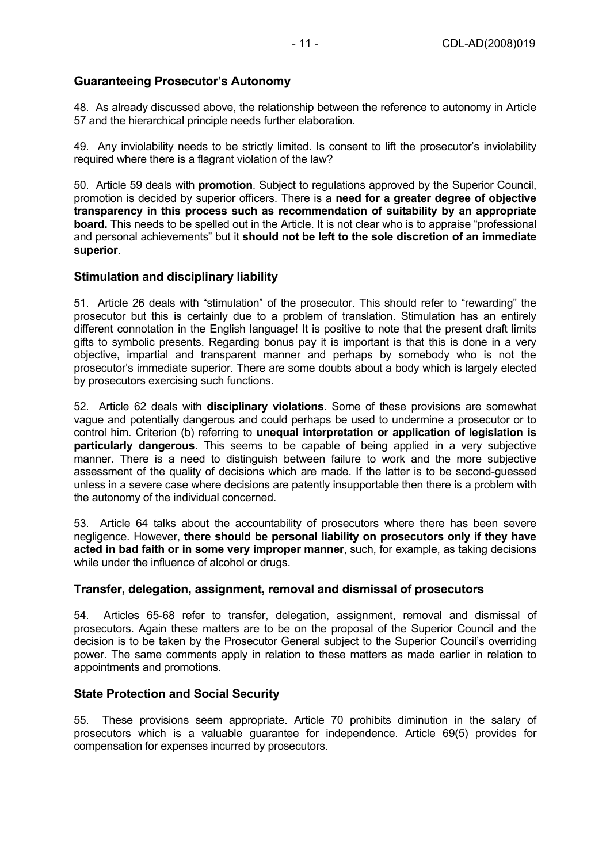# **Guaranteeing Prosecutor's Autonomy**

48. As already discussed above, the relationship between the reference to autonomy in Article 57 and the hierarchical principle needs further elaboration.

49. Any inviolability needs to be strictly limited. Is consent to lift the prosecutor's inviolability required where there is a flagrant violation of the law?

50. Article 59 deals with **promotion**. Subject to regulations approved by the Superior Council, promotion is decided by superior officers. There is a **need for a greater degree of objective transparency in this process such as recommendation of suitability by an appropriate board.** This needs to be spelled out in the Article. It is not clear who is to appraise "professional and personal achievements" but it **should not be left to the sole discretion of an immediate superior**.

#### **Stimulation and disciplinary liability**

51. Article 26 deals with "stimulation" of the prosecutor. This should refer to "rewarding" the prosecutor but this is certainly due to a problem of translation. Stimulation has an entirely different connotation in the English language! It is positive to note that the present draft limits gifts to symbolic presents. Regarding bonus pay it is important is that this is done in a very objective, impartial and transparent manner and perhaps by somebody who is not the prosecutor's immediate superior. There are some doubts about a body which is largely elected by prosecutors exercising such functions.

52. Article 62 deals with **disciplinary violations**. Some of these provisions are somewhat vague and potentially dangerous and could perhaps be used to undermine a prosecutor or to control him. Criterion (b) referring to **unequal interpretation or application of legislation is particularly dangerous**. This seems to be capable of being applied in a very subjective manner. There is a need to distinguish between failure to work and the more subjective assessment of the quality of decisions which are made. If the latter is to be second-guessed unless in a severe case where decisions are patently insupportable then there is a problem with the autonomy of the individual concerned.

53. Article 64 talks about the accountability of prosecutors where there has been severe negligence. However, **there should be personal liability on prosecutors only if they have acted in bad faith or in some very improper manner**, such, for example, as taking decisions while under the influence of alcohol or drugs.

#### **Transfer, delegation, assignment, removal and dismissal of prosecutors**

54. Articles 65-68 refer to transfer, delegation, assignment, removal and dismissal of prosecutors. Again these matters are to be on the proposal of the Superior Council and the decision is to be taken by the Prosecutor General subject to the Superior Council's overriding power. The same comments apply in relation to these matters as made earlier in relation to appointments and promotions.

#### **State Protection and Social Security**

55. These provisions seem appropriate. Article 70 prohibits diminution in the salary of prosecutors which is a valuable guarantee for independence. Article 69(5) provides for compensation for expenses incurred by prosecutors.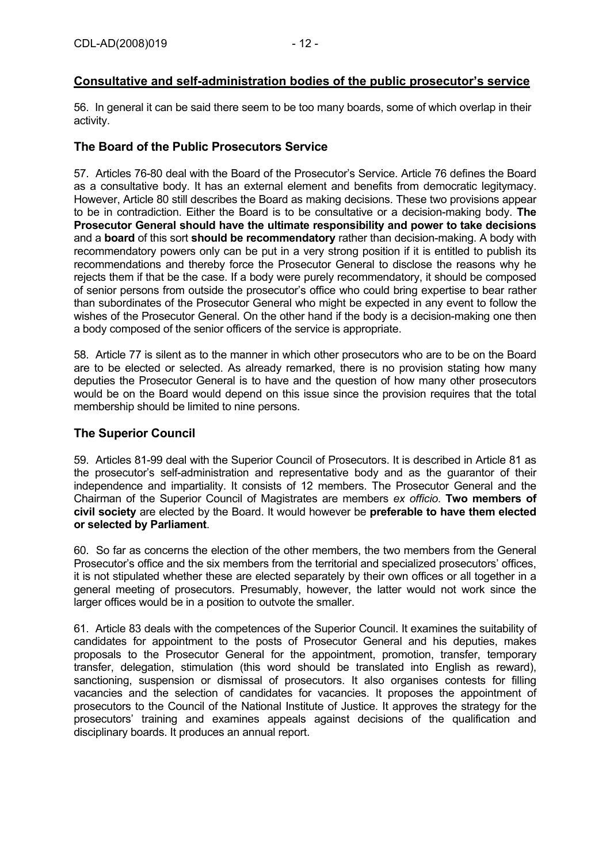# **Consultative and self-administration bodies of the public prosecutor's service**

56. In general it can be said there seem to be too many boards, some of which overlap in their activity.

# **The Board of the Public Prosecutors Service**

57. Articles 76-80 deal with the Board of the Prosecutor's Service. Article 76 defines the Board as a consultative body. It has an external element and benefits from democratic legitymacy. However, Article 80 still describes the Board as making decisions. These two provisions appear to be in contradiction. Either the Board is to be consultative or a decision-making body. **The Prosecutor General should have the ultimate responsibility and power to take decisions**  and a **board** of this sort **should be recommendatory** rather than decision-making. A body with recommendatory powers only can be put in a very strong position if it is entitled to publish its recommendations and thereby force the Prosecutor General to disclose the reasons why he rejects them if that be the case. If a body were purely recommendatory, it should be composed of senior persons from outside the prosecutor's office who could bring expertise to bear rather than subordinates of the Prosecutor General who might be expected in any event to follow the wishes of the Prosecutor General. On the other hand if the body is a decision-making one then a body composed of the senior officers of the service is appropriate.

58. Article 77 is silent as to the manner in which other prosecutors who are to be on the Board are to be elected or selected. As already remarked, there is no provision stating how many deputies the Prosecutor General is to have and the question of how many other prosecutors would be on the Board would depend on this issue since the provision requires that the total membership should be limited to nine persons.

#### **The Superior Council**

59. Articles 81-99 deal with the Superior Council of Prosecutors. It is described in Article 81 as the prosecutor's self-administration and representative body and as the guarantor of their independence and impartiality. It consists of 12 members. The Prosecutor General and the Chairman of the Superior Council of Magistrates are members *ex officio*. **Two members of civil society** are elected by the Board. It would however be **preferable to have them elected or selected by Parliament**.

60. So far as concerns the election of the other members, the two members from the General Prosecutor's office and the six members from the territorial and specialized prosecutors' offices, it is not stipulated whether these are elected separately by their own offices or all together in a general meeting of prosecutors. Presumably, however, the latter would not work since the larger offices would be in a position to outvote the smaller.

61. Article 83 deals with the competences of the Superior Council. It examines the suitability of candidates for appointment to the posts of Prosecutor General and his deputies, makes proposals to the Prosecutor General for the appointment, promotion, transfer, temporary transfer, delegation, stimulation (this word should be translated into English as reward), sanctioning, suspension or dismissal of prosecutors. It also organises contests for filling vacancies and the selection of candidates for vacancies. It proposes the appointment of prosecutors to the Council of the National Institute of Justice. It approves the strategy for the prosecutors' training and examines appeals against decisions of the qualification and disciplinary boards. It produces an annual report.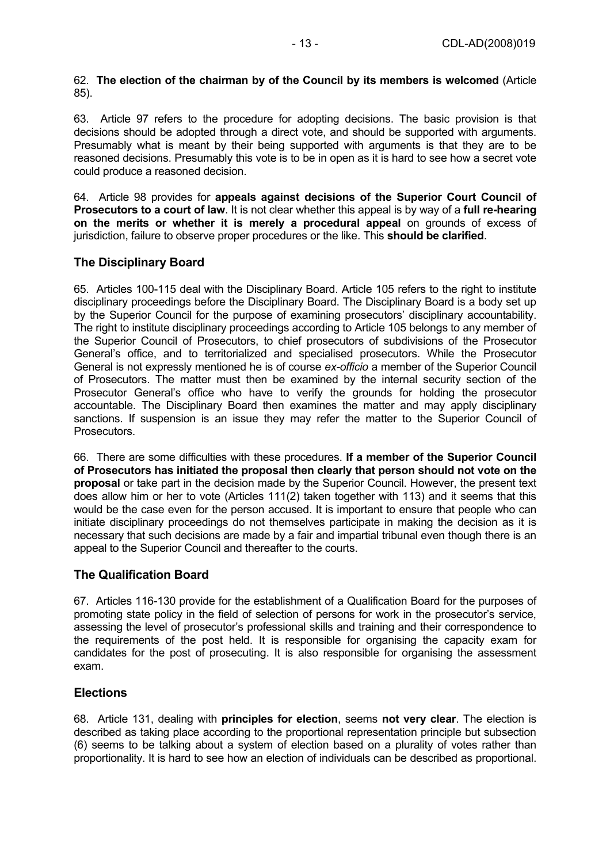#### 62. **The election of the chairman by of the Council by its members is welcomed** (Article 85).

63. Article 97 refers to the procedure for adopting decisions. The basic provision is that decisions should be adopted through a direct vote, and should be supported with arguments. Presumably what is meant by their being supported with arguments is that they are to be reasoned decisions. Presumably this vote is to be in open as it is hard to see how a secret vote could produce a reasoned decision.

64. Article 98 provides for **appeals against decisions of the Superior Court Council of Prosecutors to a court of law**. It is not clear whether this appeal is by way of a **full re-hearing on the merits or whether it is merely a procedural appeal** on grounds of excess of jurisdiction, failure to observe proper procedures or the like. This **should be clarified**.

# **The Disciplinary Board**

65. Articles 100-115 deal with the Disciplinary Board. Article 105 refers to the right to institute disciplinary proceedings before the Disciplinary Board. The Disciplinary Board is a body set up by the Superior Council for the purpose of examining prosecutors' disciplinary accountability. The right to institute disciplinary proceedings according to Article 105 belongs to any member of the Superior Council of Prosecutors, to chief prosecutors of subdivisions of the Prosecutor General's office, and to territorialized and specialised prosecutors. While the Prosecutor General is not expressly mentioned he is of course *ex-officio* a member of the Superior Council of Prosecutors. The matter must then be examined by the internal security section of the Prosecutor General's office who have to verify the grounds for holding the prosecutor accountable. The Disciplinary Board then examines the matter and may apply disciplinary sanctions. If suspension is an issue they may refer the matter to the Superior Council of Prosecutors.

66. There are some difficulties with these procedures. **If a member of the Superior Council of Prosecutors has initiated the proposal then clearly that person should not vote on the proposal** or take part in the decision made by the Superior Council. However, the present text does allow him or her to vote (Articles 111(2) taken together with 113) and it seems that this would be the case even for the person accused. It is important to ensure that people who can initiate disciplinary proceedings do not themselves participate in making the decision as it is necessary that such decisions are made by a fair and impartial tribunal even though there is an appeal to the Superior Council and thereafter to the courts.

# **The Qualification Board**

67. Articles 116-130 provide for the establishment of a Qualification Board for the purposes of promoting state policy in the field of selection of persons for work in the prosecutor's service, assessing the level of prosecutor's professional skills and training and their correspondence to the requirements of the post held. It is responsible for organising the capacity exam for candidates for the post of prosecuting. It is also responsible for organising the assessment exam.

# **Elections**

68. Article 131, dealing with **principles for election**, seems **not very clear**. The election is described as taking place according to the proportional representation principle but subsection (6) seems to be talking about a system of election based on a plurality of votes rather than proportionality. It is hard to see how an election of individuals can be described as proportional.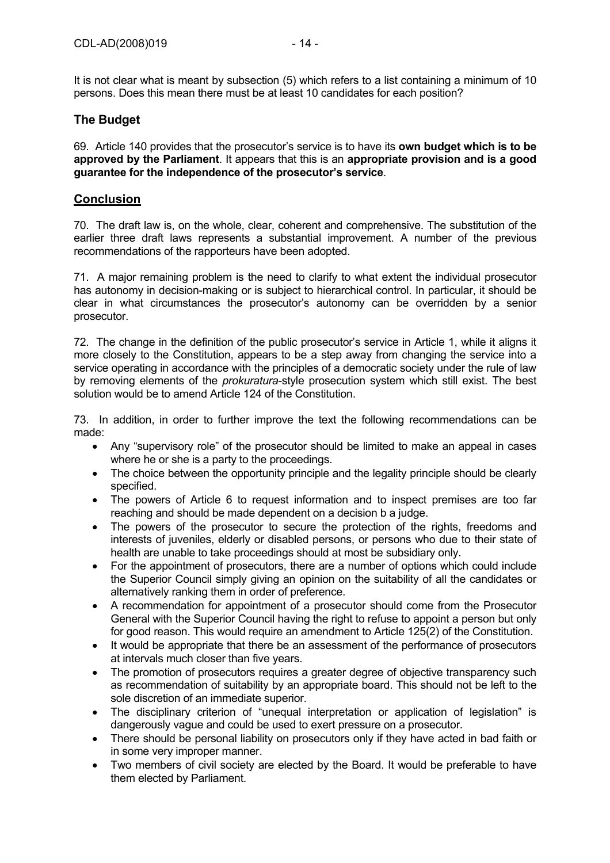It is not clear what is meant by subsection (5) which refers to a list containing a minimum of 10 persons. Does this mean there must be at least 10 candidates for each position?

# **The Budget**

69. Article 140 provides that the prosecutor's service is to have its **own budget which is to be approved by the Parliament**. It appears that this is an **appropriate provision and is a good guarantee for the independence of the prosecutor's service**.

#### **Conclusion**

70. The draft law is, on the whole, clear, coherent and comprehensive. The substitution of the earlier three draft laws represents a substantial improvement. A number of the previous recommendations of the rapporteurs have been adopted.

71. A major remaining problem is the need to clarify to what extent the individual prosecutor has autonomy in decision-making or is subject to hierarchical control. In particular, it should be clear in what circumstances the prosecutor's autonomy can be overridden by a senior prosecutor.

72. The change in the definition of the public prosecutor's service in Article 1, while it aligns it more closely to the Constitution, appears to be a step away from changing the service into a service operating in accordance with the principles of a democratic society under the rule of law by removing elements of the *prokuratura*-style prosecution system which still exist. The best solution would be to amend Article 124 of the Constitution.

73. In addition, in order to further improve the text the following recommendations can be made:

- Any "supervisory role" of the prosecutor should be limited to make an appeal in cases where he or she is a party to the proceedings.
- The choice between the opportunity principle and the legality principle should be clearly specified.
- The powers of Article 6 to request information and to inspect premises are too far reaching and should be made dependent on a decision b a judge.
- The powers of the prosecutor to secure the protection of the rights, freedoms and interests of juveniles, elderly or disabled persons, or persons who due to their state of health are unable to take proceedings should at most be subsidiary only.
- For the appointment of prosecutors, there are a number of options which could include the Superior Council simply giving an opinion on the suitability of all the candidates or alternatively ranking them in order of preference.
- A recommendation for appointment of a prosecutor should come from the Prosecutor General with the Superior Council having the right to refuse to appoint a person but only for good reason. This would require an amendment to Article 125(2) of the Constitution.
- It would be appropriate that there be an assessment of the performance of prosecutors at intervals much closer than five years.
- The promotion of prosecutors requires a greater degree of objective transparency such as recommendation of suitability by an appropriate board. This should not be left to the sole discretion of an immediate superior.
- The disciplinary criterion of "unequal interpretation or application of legislation" is dangerously vague and could be used to exert pressure on a prosecutor.
- There should be personal liability on prosecutors only if they have acted in bad faith or in some very improper manner.
- Two members of civil society are elected by the Board. It would be preferable to have them elected by Parliament.